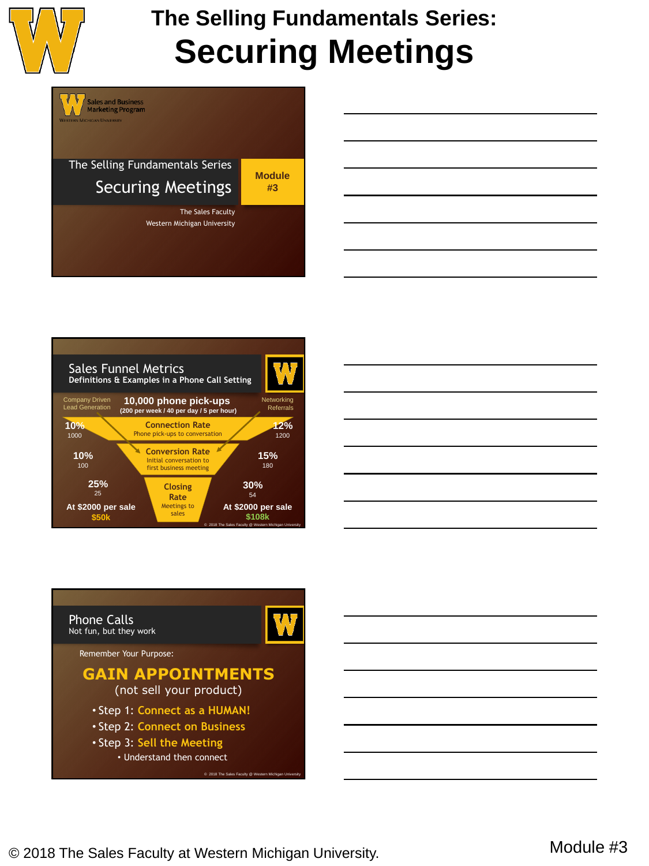







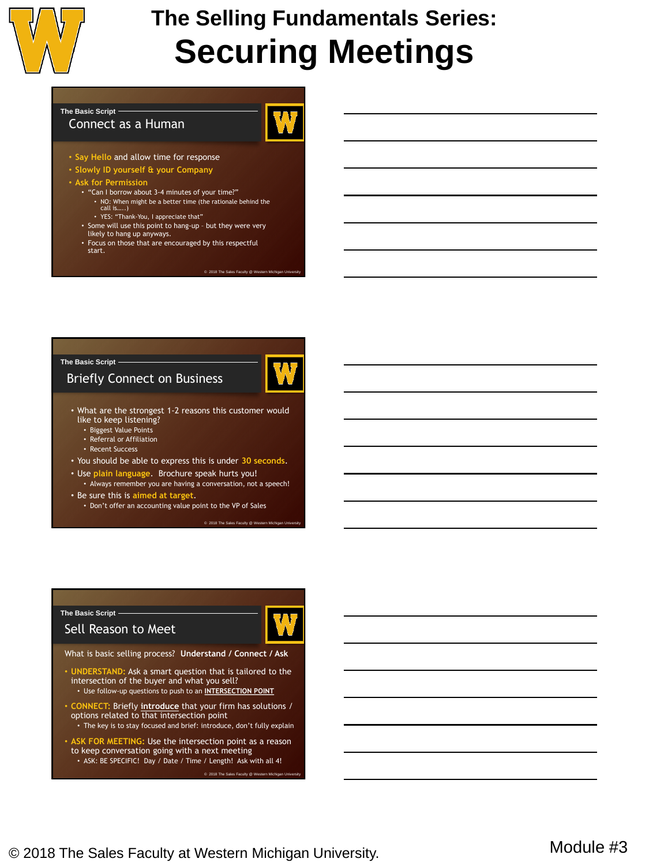

#### **The Basic Script**

#### Connect as a Human

- **Say Hello** and allow time for response
- **Slowly ID yourself & your Company**
- **Ask for Permission**
	- "Can I borrow about 3-4 minutes of your time?"
		- NO: When might be a better time (the rationale behind the call is…..) • YES: "Thank-You, I appreciate that"
		-
	- Some will use this point to hang-up but they were very likely to hang up anyways.
	- Focus on those that are encouraged by this respectful
	- start.

 $@ 2018$  The Sales Faculty  $@ W$ 

#### **The Basic Script**

#### Briefly Connect on Business



- What are the strongest 1-2 reasons this customer would like to keep listening?
	- Biggest Value Points
	- Referral or Affiliation
	- Recent Success
- You should be able to express this is under **30 seconds**.
- Use **plain language**. Brochure speak hurts you! • Always remember you are having a conversation, not a speech!
- Be sure this is aimed at ta
	- Don't offer an accounting value point to the VP of Sales

#### © 2018 The Sales Faculty @ Western Michigan University

#### **The Basic Script**

#### Sell Reason to Meet



What is basic selling process? **Understand / Connect / Ask**

- **UNDERSTAND:** Ask a smart question that is tailored to the intersection of the buyer and what you sell? • Use follow-up questions to push to an **INTERSECTION POINT**
- **CONNECT:** Briefly **introduce** that your firm has solutions /
- options related to that intersection point • The key is to stay focused and brief: introduce, don't fully explain
- **ASK FOR MEETING:** Use the intersection point as a reason to keep conversation going with a next meeting • ASK: BE SPECIFIC! Day / Date / Time / Length! Ask with all 4!

© 2018 The Sales Faculty @ We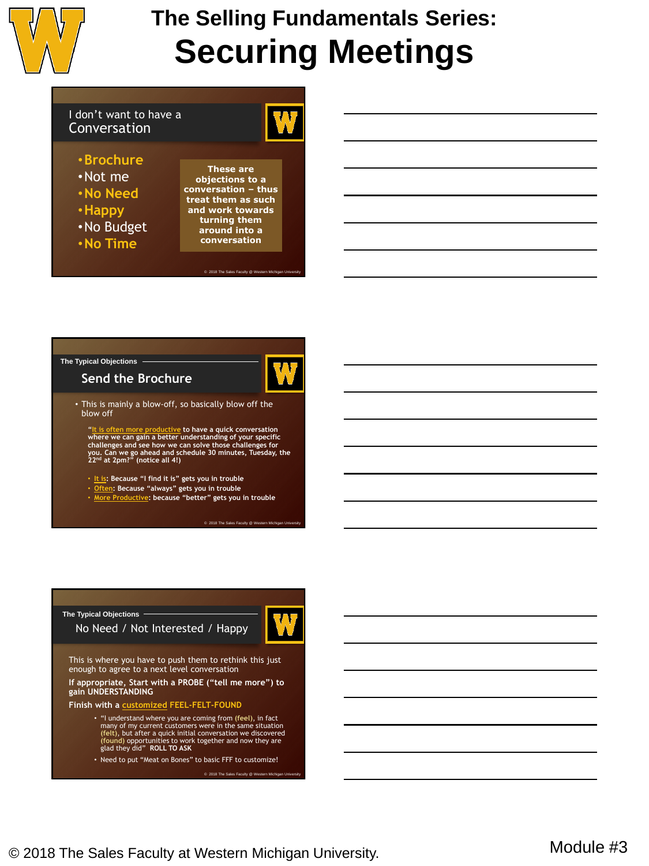

#### I don't want to have a Conversation

#### •**Brochure**

- •Not me
- •**No Need**
- •**Happy**
- •No Budget
- •**No Time**

**These are objections to a conversation – thus treat them as such and work towards turning them around into a conversation**

© 2018 The Sales Faculty @ We

### **The Typical Objections**





• This is mainly a blow-off, so basically blow off the blow off

"It is often more productive to have a quick conversation<br>where we can gain a better understanding of your specific<br>challenges and see how we can solve those challenges for<br>you. Can we go ahead and schedule 30 minutes, Tu

- **It is: Because "I find it is" gets you in trouble**
- **Often: Because "always" gets you in trouble**
- **More Productive: because "better" gets you in trouble**

© 2018 The Sales Faculty @ Western Michigan

### No Need / Not Interested / Happy This is where you have to push them to rethink this just enough to agree to a next level conversation **If appropriate, Start with a PROBE ("tell me more") to gain UNDERSTANDING Finish with a customized FEEL-FELT-FOUND** • "I understand where you are coming from (feel), in fact<br>many of my current customers were in the same situation<br>(felt), but after a quick initial conversation we discovered<br>(found) opportunities to work together and now **The Typical Objections**

• Need to put "Meat on Bones" to basic FFF to customize!

© 2018 The Sales Faculty @ We